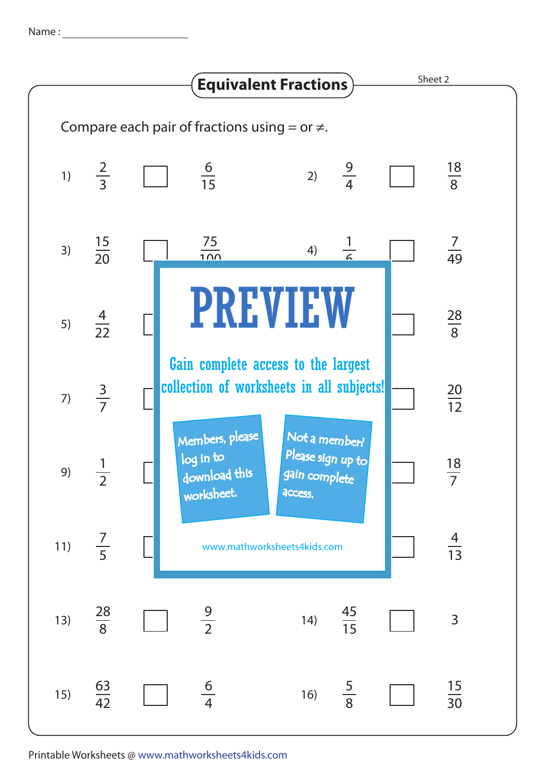